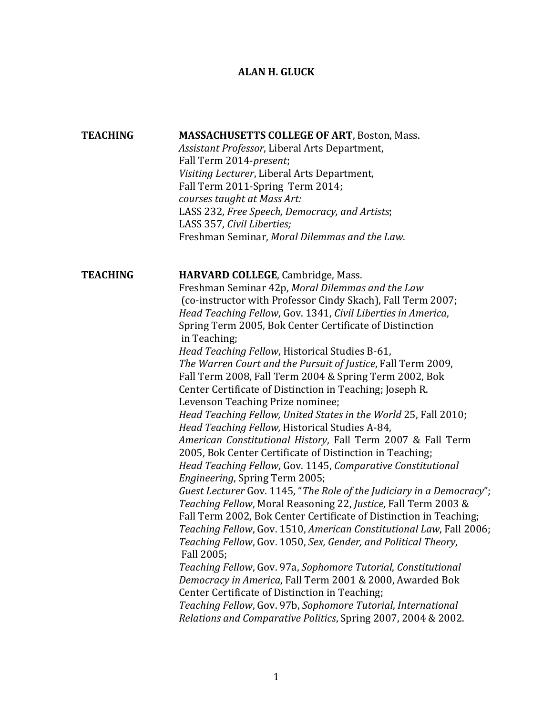## **ALAN H. GLUCK**

| <b>TEACHING</b> | <b>MASSACHUSETTS COLLEGE OF ART, Boston, Mass.</b><br>Assistant Professor, Liberal Arts Department,<br>Fall Term 2014-present;<br>Visiting Lecturer, Liberal Arts Department,<br>Fall Term 2011-Spring Term 2014;<br>courses taught at Mass Art:<br>LASS 232, Free Speech, Democracy, and Artists;<br>LASS 357, Civil Liberties;<br>Freshman Seminar, Moral Dilemmas and the Law.                                                                                                                                                                                                                                                                                                                                                                                                                                                                                                                                                                                                                                                                                                                                                                                                                                                                                                                                                                                                                                                                                                                                                                                                                                    |
|-----------------|----------------------------------------------------------------------------------------------------------------------------------------------------------------------------------------------------------------------------------------------------------------------------------------------------------------------------------------------------------------------------------------------------------------------------------------------------------------------------------------------------------------------------------------------------------------------------------------------------------------------------------------------------------------------------------------------------------------------------------------------------------------------------------------------------------------------------------------------------------------------------------------------------------------------------------------------------------------------------------------------------------------------------------------------------------------------------------------------------------------------------------------------------------------------------------------------------------------------------------------------------------------------------------------------------------------------------------------------------------------------------------------------------------------------------------------------------------------------------------------------------------------------------------------------------------------------------------------------------------------------|
| <b>TEACHING</b> | HARVARD COLLEGE, Cambridge, Mass.<br>Freshman Seminar 42p, Moral Dilemmas and the Law<br>(co-instructor with Professor Cindy Skach), Fall Term 2007;<br>Head Teaching Fellow, Gov. 1341, Civil Liberties in America,<br>Spring Term 2005, Bok Center Certificate of Distinction<br>in Teaching;<br>Head Teaching Fellow, Historical Studies B-61,<br>The Warren Court and the Pursuit of Justice, Fall Term 2009,<br>Fall Term 2008, Fall Term 2004 & Spring Term 2002, Bok<br>Center Certificate of Distinction in Teaching; Joseph R.<br>Levenson Teaching Prize nominee;<br>Head Teaching Fellow, United States in the World 25, Fall 2010;<br>Head Teaching Fellow, Historical Studies A-84,<br>American Constitutional History, Fall Term 2007 & Fall Term<br>2005, Bok Center Certificate of Distinction in Teaching;<br>Head Teaching Fellow, Gov. 1145, Comparative Constitutional<br>Engineering, Spring Term 2005;<br>Guest Lecturer Gov. 1145, "The Role of the Judiciary in a Democracy";<br>Teaching Fellow, Moral Reasoning 22, Justice, Fall Term 2003 &<br>Fall Term 2002, Bok Center Certificate of Distinction in Teaching;<br>Teaching Fellow, Gov. 1510, American Constitutional Law, Fall 2006;<br>Teaching Fellow, Gov. 1050, Sex, Gender, and Political Theory,<br>Fall 2005;<br>Teaching Fellow, Gov. 97a, Sophomore Tutorial, Constitutional<br>Democracy in America, Fall Term 2001 & 2000, Awarded Bok<br>Center Certificate of Distinction in Teaching;<br>Teaching Fellow, Gov. 97b, Sophomore Tutorial, International<br>Relations and Comparative Politics, Spring 2007, 2004 & 2002. |